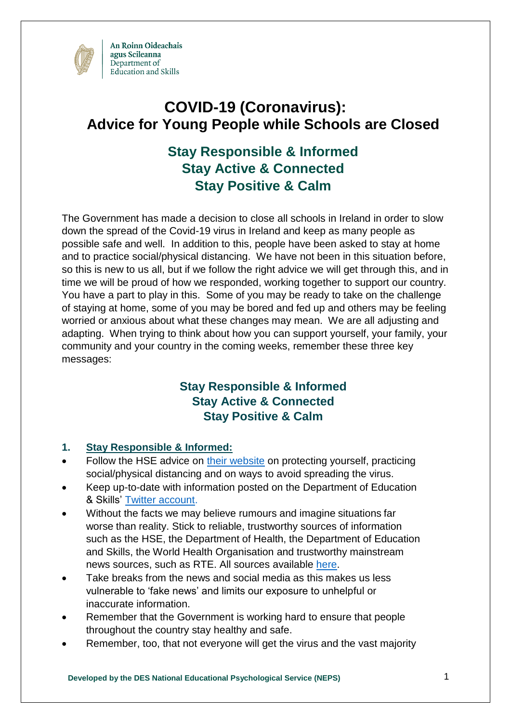

# **COVID-19 (Coronavirus): Advice for Young People while Schools are Closed**

## **Stay Responsible & Informed Stay Active & Connected Stay Positive & Calm**

The Government has made a decision to close all schools in Ireland in order to slow down the spread of the Covid-19 virus in Ireland and keep as many people as possible safe and well. In addition to this, people have been asked to stay at home and to practice social/physical distancing. We have not been in this situation before, so this is new to us all, but if we follow the right advice we will get through this, and in time we will be proud of how we responded, working together to support our country. You have a part to play in this. Some of you may be ready to take on the challenge of staying at home, some of you may be bored and fed up and others may be feeling worried or anxious about what these changes may mean. We are all adjusting and adapting. When trying to think about how you can support yourself, your family, your community and your country in the coming weeks, remember these three key messages:

### **Stay Responsible & Informed Stay Active & Connected Stay Positive & Calm**

#### **1. Stay Responsible & Informed:**

- Follow the HSE advice on [their website](https://www2.hse.ie/conditions/coronavirus/coronavirus.html) on protecting yourself, practicing social/physical distancing and on ways to avoid spreading the virus.
- Keep up-to-date with information posted on the Department of Education & Skills' [Twitter account.](https://twitter.com/Education_Ire)
- Without the facts we may believe rumours and imagine situations far worse than reality. Stick to reliable, trustworthy sources of information such as the HSE, the Department of Health, the Department of Education and Skills, the World Health Organisation and trustworthy mainstream news sources, such as RTE. All sources available [here.](#page-3-0)
- Take breaks from the news and social media as this makes us less vulnerable to 'fake news' and limits our exposure to unhelpful or inaccurate information.
- Remember that the Government is working hard to ensure that people throughout the country stay healthy and safe.
- Remember, too, that not everyone will get the virus and the vast majority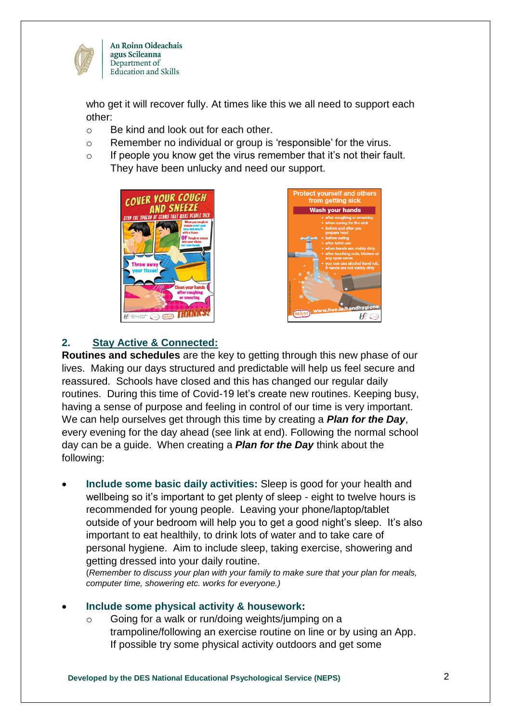

An Roinn Oideachais agus Scileanna Department of Education and Skills

who get it will recover fully. At times like this we all need to support each other:

- o Be kind and look out for each other.
- o Remember no individual or group is 'responsible' for the virus.
- $\circ$  If people you know get the virus remember that it's not their fault. They have been unlucky and need our support.





#### **2. Stay Active & Connected:**

**Routines and schedules** are the key to getting through this new phase of our lives. Making our days structured and predictable will help us feel secure and reassured. Schools have closed and this has changed our regular daily routines. During this time of Covid-19 let's create new routines. Keeping busy, having a sense of purpose and feeling in control of our time is very important. We can help ourselves get through this time by creating a *Plan for the Day*, every evening for the day ahead (see link at end). Following the normal school day can be a guide. When creating a *Plan for the Day* think about the following:

 **Include some basic daily activities:** Sleep is good for your health and wellbeing so it's important to get plenty of sleep - eight to twelve hours is recommended for young people. Leaving your phone/laptop/tablet outside of your bedroom will help you to get a good night's sleep. It's also important to eat healthily, to drink lots of water and to take care of personal hygiene. Aim to include sleep, taking exercise, showering and getting dressed into your daily routine.

(*Remember to discuss your plan with your family to make sure that your plan for meals, computer time, showering etc. works for everyone.)*

#### **Include some physical activity & housework:**

o Going for a walk or run/doing weights/jumping on a trampoline/following an exercise routine on line or by using an App. If possible try some physical activity outdoors and get some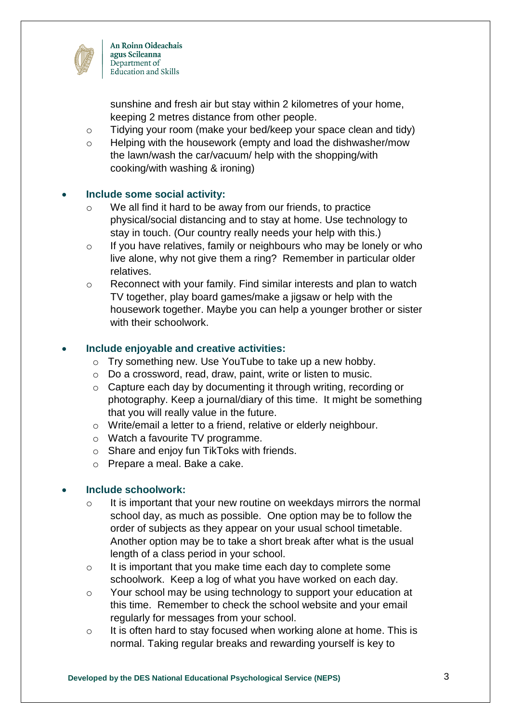

An Roinn Oideachais agus Scileanna Department of Education and Skills

sunshine and fresh air but stay within 2 kilometres of your home, keeping 2 metres distance from other people.

- o Tidying your room (make your bed/keep your space clean and tidy)
- o Helping with the housework (empty and load the dishwasher/mow the lawn/wash the car/vacuum/ help with the shopping/with cooking/with washing & ironing)

#### **Include some social activity:**

- o We all find it hard to be away from our friends, to practice physical/social distancing and to stay at home. Use technology to stay in touch. (Our country really needs your help with this.)
- o If you have relatives, family or neighbours who may be lonely or who live alone, why not give them a ring? Remember in particular older relatives.
- o Reconnect with your family. Find similar interests and plan to watch TV together, play board games/make a jigsaw or help with the housework together. Maybe you can help a younger brother or sister with their schoolwork.

#### **Include enjoyable and creative activities:**

- o Try something new. Use YouTube to take up a new hobby.
- o Do a crossword, read, draw, paint, write or listen to music.
- o Capture each day by documenting it through writing, recording or photography. Keep a journal/diary of this time. It might be something that you will really value in the future.
- o Write/email a letter to a friend, relative or elderly neighbour.
- o Watch a favourite TV programme.
- o Share and enjoy fun TikToks with friends.
- o Prepare a meal. Bake a cake.

#### **Include schoolwork:**

- o It is important that your new routine on weekdays mirrors the normal school day, as much as possible. One option may be to follow the order of subjects as they appear on your usual school timetable. Another option may be to take a short break after what is the usual length of a class period in your school.
- o It is important that you make time each day to complete some schoolwork. Keep a log of what you have worked on each day.
- o Your school may be using technology to support your education at this time. Remember to check the school website and your email regularly for messages from your school.
- o It is often hard to stay focused when working alone at home. This is normal. Taking regular breaks and rewarding yourself is key to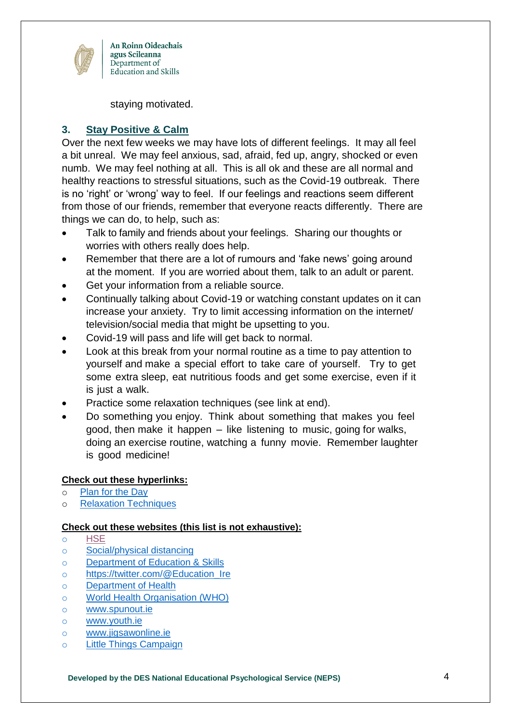

An Roinn Oideachais agus Scileanna Department of Education and Skills

staying motivated.

#### **3. Stay Positive & Calm**

Over the next few weeks we may have lots of different feelings. It may all feel a bit unreal. We may feel anxious, sad, afraid, fed up, angry, shocked or even numb. We may feel nothing at all. This is all ok and these are all normal and healthy reactions to stressful situations, such as the Covid-19 outbreak. There is no 'right' or 'wrong' way to feel. If our feelings and reactions seem different from those of our friends, remember that everyone reacts differently. There are things we can do, to help, such as:

- Talk to family and friends about your feelings. Sharing our thoughts or worries with others really does help.
- Remember that there are a lot of rumours and 'fake news' going around at the moment. If you are worried about them, talk to an adult or parent.
- Get your information from a reliable source.
- Continually talking about Covid-19 or watching constant updates on it can increase your anxiety. Try to limit accessing information on the internet/ television/social media that might be upsetting to you.
- Covid-19 will pass and life will get back to normal.
- Look at this break from your normal routine as a time to pay attention to yourself and make a special effort to take care of yourself. Try to get some extra sleep, eat nutritious foods and get some exercise, even if it is just a walk.
- Practice some relaxation techniques (see link at end).
- Do something you enjoy. Think about something that makes you feel good, then make it happen – like listening to music, going for walks, doing an exercise routine, watching a funny movie. Remember laughter is good medicine!

#### **Check out these hyperlinks:**

- o [Plan for the Day](https://www.education.ie/en/The-Department/Announcements/plan-your-day.pdf)
- o [Relaxation Techniques](https://www.education.ie/en/The-Department/Announcements/relaxation-techniques.pdf)

#### <span id="page-3-0"></span>**Check out these websites (this list is not exhaustive):**

- o [HSE](https://www2.hse.ie/conditions/coronavirus/coronavirus.html)
- o [Social/physical distancing](https://www.youtube.com/watch?v=NMwEDi9-kOk)
- o [Department of Education & Skills](https://www.education.ie/en/The-Department/Announcements/information-for-schools-preschools-and-third-level-institutions-on-the-coronavirus.html)
- o [https://twitter.com/@Education\\_Ire](https://twitter.com/@Education_Ire)
- o [Department of Health](https://www.gov.ie/en/campaigns/c36c85-covid-19-coronavirus/)
- o [World Health Organisation \(WHO\)](https://www.who.int/)
- o [www.spunout.ie](http://www.spunout.ie/)
- o [www.youth.ie](http://www.youth.ie/)
- o [www.jigsawonline.ie](http://www.jigsawonline.ie/)
- o [Little Things Campaign](https://www2.hse.ie/services/campaigns/littlethings/about-littlethings.html)

**Developed by the DES National Educational Psychological Service (NEPS)** 4